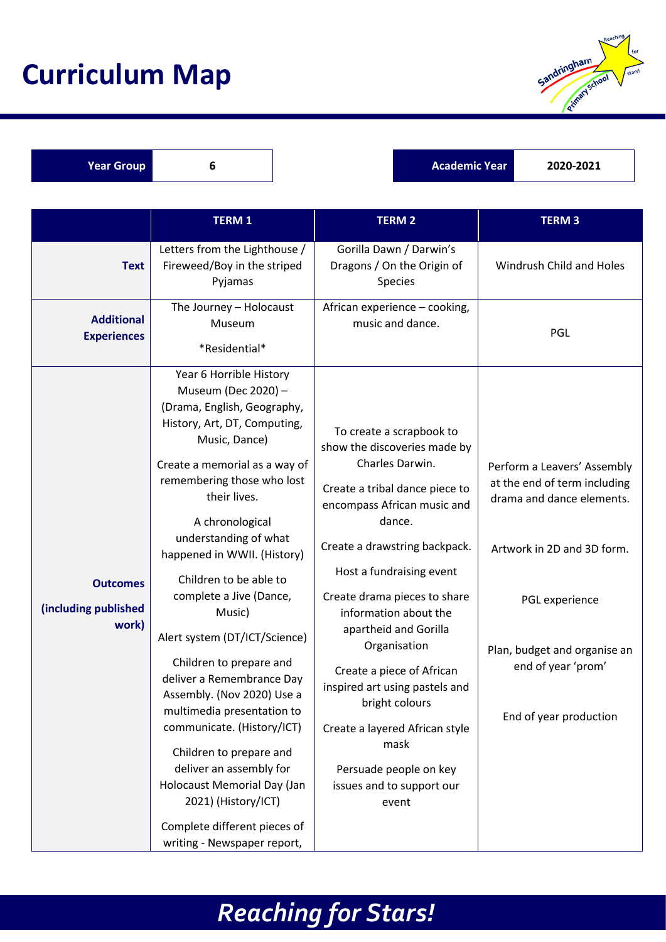## **Curriculum Map**



**Year Group 6 1 Academic Year 12020-2021** 

|                                                  | <b>TERM1</b>                                                                                                                                                                                                                                                                                                                                                                                                                                                                                                                                                                                                                                                                                                          | <b>TERM 2</b>                                                                                                                                                                                                                                                                                                                                                                                                                                                                                                    | <b>TERM3</b>                                                                                                                                                                                                             |
|--------------------------------------------------|-----------------------------------------------------------------------------------------------------------------------------------------------------------------------------------------------------------------------------------------------------------------------------------------------------------------------------------------------------------------------------------------------------------------------------------------------------------------------------------------------------------------------------------------------------------------------------------------------------------------------------------------------------------------------------------------------------------------------|------------------------------------------------------------------------------------------------------------------------------------------------------------------------------------------------------------------------------------------------------------------------------------------------------------------------------------------------------------------------------------------------------------------------------------------------------------------------------------------------------------------|--------------------------------------------------------------------------------------------------------------------------------------------------------------------------------------------------------------------------|
| <b>Text</b>                                      | Letters from the Lighthouse /<br>Fireweed/Boy in the striped<br>Pyjamas                                                                                                                                                                                                                                                                                                                                                                                                                                                                                                                                                                                                                                               | Gorilla Dawn / Darwin's<br>Dragons / On the Origin of<br>Species                                                                                                                                                                                                                                                                                                                                                                                                                                                 | Windrush Child and Holes                                                                                                                                                                                                 |
| <b>Additional</b><br><b>Experiences</b>          | The Journey - Holocaust<br>Museum<br>*Residential*                                                                                                                                                                                                                                                                                                                                                                                                                                                                                                                                                                                                                                                                    | African experience - cooking,<br>music and dance.                                                                                                                                                                                                                                                                                                                                                                                                                                                                | PGL                                                                                                                                                                                                                      |
| <b>Outcomes</b><br>(including published<br>work) | Year 6 Horrible History<br>Museum (Dec 2020) -<br>(Drama, English, Geography,<br>History, Art, DT, Computing,<br>Music, Dance)<br>Create a memorial as a way of<br>remembering those who lost<br>their lives.<br>A chronological<br>understanding of what<br>happened in WWII. (History)<br>Children to be able to<br>complete a Jive (Dance,<br>Music)<br>Alert system (DT/ICT/Science)<br>Children to prepare and<br>deliver a Remembrance Day<br>Assembly. (Nov 2020) Use a<br>multimedia presentation to<br>communicate. (History/ICT)<br>Children to prepare and<br>deliver an assembly for<br>Holocaust Memorial Day (Jan<br>2021) (History/ICT)<br>Complete different pieces of<br>writing - Newspaper report, | To create a scrapbook to<br>show the discoveries made by<br>Charles Darwin.<br>Create a tribal dance piece to<br>encompass African music and<br>dance.<br>Create a drawstring backpack.<br>Host a fundraising event<br>Create drama pieces to share<br>information about the<br>apartheid and Gorilla<br>Organisation<br>Create a piece of African<br>inspired art using pastels and<br>bright colours<br>Create a layered African style<br>mask<br>Persuade people on key<br>issues and to support our<br>event | Perform a Leavers' Assembly<br>at the end of term including<br>drama and dance elements.<br>Artwork in 2D and 3D form.<br>PGL experience<br>Plan, budget and organise an<br>end of year 'prom'<br>End of year production |

## *Reaching for Stars!*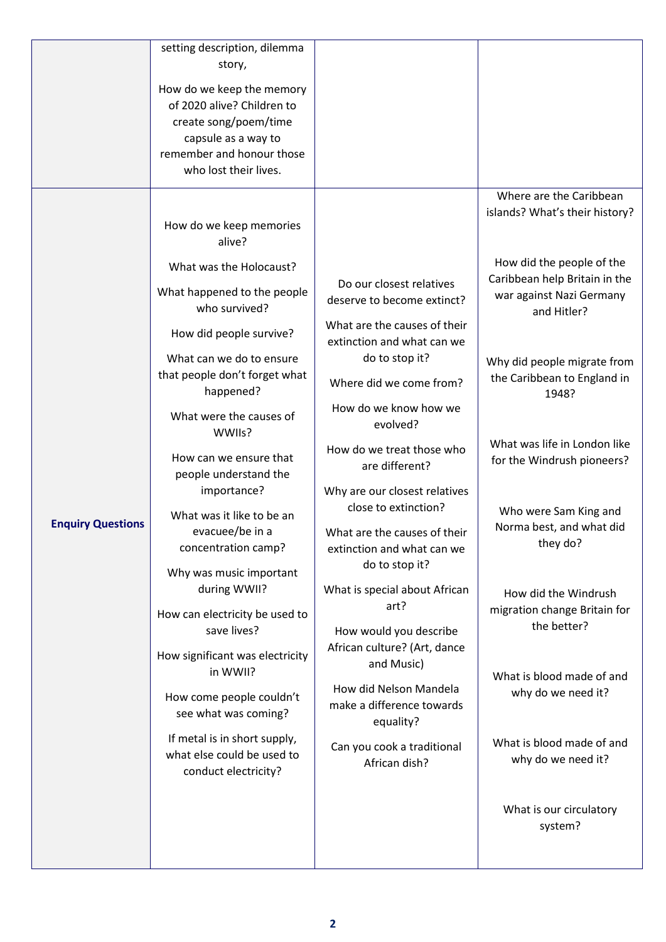|                          | setting description, dilemma                                                       |                                                                  |                                                                          |
|--------------------------|------------------------------------------------------------------------------------|------------------------------------------------------------------|--------------------------------------------------------------------------|
|                          | story,                                                                             |                                                                  |                                                                          |
|                          | How do we keep the memory                                                          |                                                                  |                                                                          |
|                          | of 2020 alive? Children to                                                         |                                                                  |                                                                          |
|                          | create song/poem/time                                                              |                                                                  |                                                                          |
|                          | capsule as a way to                                                                |                                                                  |                                                                          |
|                          | remember and honour those                                                          |                                                                  |                                                                          |
|                          | who lost their lives.                                                              |                                                                  |                                                                          |
|                          |                                                                                    |                                                                  |                                                                          |
|                          | How do we keep memories<br>alive?                                                  |                                                                  | Where are the Caribbean<br>islands? What's their history?                |
|                          | What was the Holocaust?                                                            |                                                                  | How did the people of the                                                |
|                          | What happened to the people<br>who survived?                                       | Do our closest relatives<br>deserve to become extinct?           | Caribbean help Britain in the<br>war against Nazi Germany<br>and Hitler? |
|                          | How did people survive?                                                            | What are the causes of their<br>extinction and what can we       |                                                                          |
|                          | What can we do to ensure<br>that people don't forget what<br>happened?             | do to stop it?<br>Where did we come from?                        | Why did people migrate from<br>the Caribbean to England in               |
|                          | What were the causes of<br>WWIIs?                                                  | How do we know how we<br>evolved?                                | 1948?                                                                    |
|                          | How can we ensure that<br>people understand the                                    | How do we treat those who<br>are different?                      | What was life in London like<br>for the Windrush pioneers?               |
|                          | importance?<br>What was it like to be an                                           | Why are our closest relatives<br>close to extinction?            | Who were Sam King and                                                    |
| <b>Enquiry Questions</b> | evacuee/be in a<br>concentration camp?                                             | What are the causes of their<br>extinction and what can we       | Norma best, and what did<br>they do?                                     |
|                          | Why was music important                                                            | do to stop it?                                                   |                                                                          |
|                          | during WWII?                                                                       | What is special about African<br>art?                            | How did the Windrush                                                     |
|                          | How can electricity be used to                                                     |                                                                  | migration change Britain for<br>the better?                              |
|                          | save lives?                                                                        | How would you describe                                           |                                                                          |
|                          | How significant was electricity<br>in WWII?                                        | African culture? (Art, dance<br>and Music)                       | What is blood made of and                                                |
|                          | How come people couldn't<br>see what was coming?                                   | How did Nelson Mandela<br>make a difference towards<br>equality? | why do we need it?                                                       |
|                          | If metal is in short supply,<br>what else could be used to<br>conduct electricity? | Can you cook a traditional<br>African dish?                      | What is blood made of and<br>why do we need it?                          |
|                          |                                                                                    |                                                                  | What is our circulatory<br>system?                                       |
|                          |                                                                                    |                                                                  |                                                                          |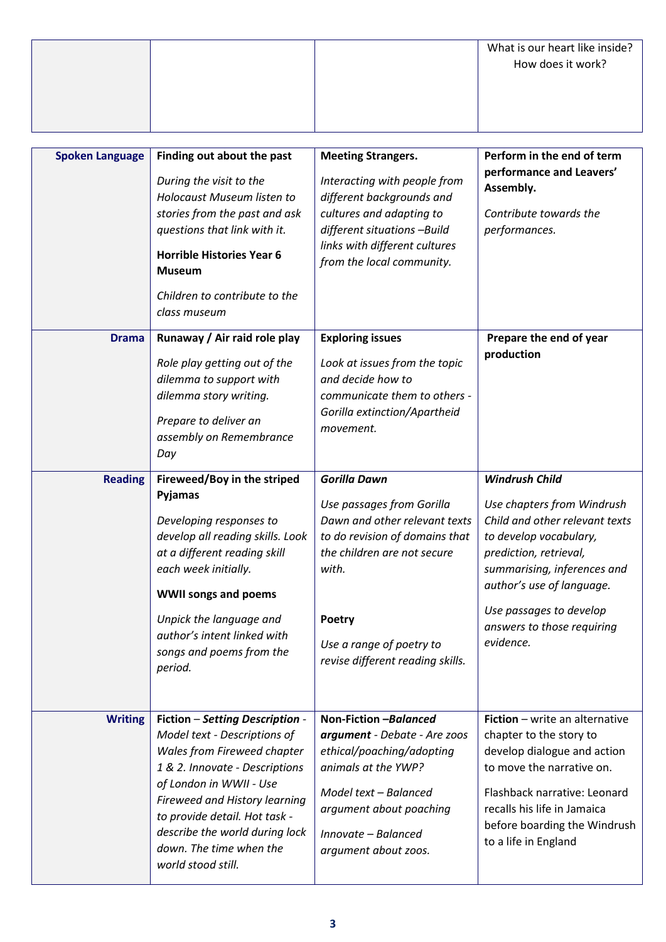|  | What is our heart like inside?<br>How does it work? |
|--|-----------------------------------------------------|
|  |                                                     |
|  |                                                     |

| <b>Spoken Language</b> | Finding out about the past<br>During the visit to the<br>Holocaust Museum listen to                                                                                                                                                                                                                              | <b>Meeting Strangers.</b><br>Interacting with people from<br>different backgrounds and                                                                                                                                                | Perform in the end of term<br>performance and Leavers'<br>Assembly.                                                                                                                                                                                                         |
|------------------------|------------------------------------------------------------------------------------------------------------------------------------------------------------------------------------------------------------------------------------------------------------------------------------------------------------------|---------------------------------------------------------------------------------------------------------------------------------------------------------------------------------------------------------------------------------------|-----------------------------------------------------------------------------------------------------------------------------------------------------------------------------------------------------------------------------------------------------------------------------|
|                        | stories from the past and ask<br>questions that link with it.                                                                                                                                                                                                                                                    | cultures and adapting to<br>different situations -Build                                                                                                                                                                               | Contribute towards the<br>performances.                                                                                                                                                                                                                                     |
|                        | <b>Horrible Histories Year 6</b><br><b>Museum</b>                                                                                                                                                                                                                                                                | links with different cultures<br>from the local community.                                                                                                                                                                            |                                                                                                                                                                                                                                                                             |
|                        | Children to contribute to the<br>class museum                                                                                                                                                                                                                                                                    |                                                                                                                                                                                                                                       |                                                                                                                                                                                                                                                                             |
| <b>Drama</b>           | Runaway / Air raid role play<br>Role play getting out of the<br>dilemma to support with<br>dilemma story writing.<br>Prepare to deliver an<br>assembly on Remembrance<br>Day                                                                                                                                     | <b>Exploring issues</b><br>Look at issues from the topic<br>and decide how to<br>communicate them to others -<br>Gorilla extinction/Apartheid<br>movement.                                                                            | Prepare the end of year<br>production                                                                                                                                                                                                                                       |
| <b>Reading</b>         | Fireweed/Boy in the striped<br>Pyjamas<br>Developing responses to<br>develop all reading skills. Look<br>at a different reading skill<br>each week initially.<br><b>WWII songs and poems</b><br>Unpick the language and<br>author's intent linked with<br>songs and poems from the<br>period.                    | <b>Gorilla Dawn</b><br>Use passages from Gorilla<br>Dawn and other relevant texts<br>to do revision of domains that<br>the children are not secure<br>with.<br>Poetry<br>Use a range of poetry to<br>revise different reading skills. | <b>Windrush Child</b><br>Use chapters from Windrush<br>Child and other relevant texts<br>to develop vocabulary,<br>prediction, retrieval,<br>summarising, inferences and<br>author's use of language.<br>Use passages to develop<br>answers to those requiring<br>evidence. |
| <b>Writing</b>         | Fiction - Setting Description -<br>Model text - Descriptions of<br>Wales from Fireweed chapter<br>1 & 2. Innovate - Descriptions<br>of London in WWII - Use<br>Fireweed and History learning<br>to provide detail. Hot task -<br>describe the world during lock<br>down. The time when the<br>world stood still. | Non-Fiction -Balanced<br>argument - Debate - Are zoos<br>ethical/poaching/adopting<br>animals at the YWP?<br>Model text - Balanced<br>argument about poaching<br>Innovate - Balanced<br>argument about zoos.                          | Fiction - write an alternative<br>chapter to the story to<br>develop dialogue and action<br>to move the narrative on.<br>Flashback narrative: Leonard<br>recalls his life in Jamaica<br>before boarding the Windrush<br>to a life in England                                |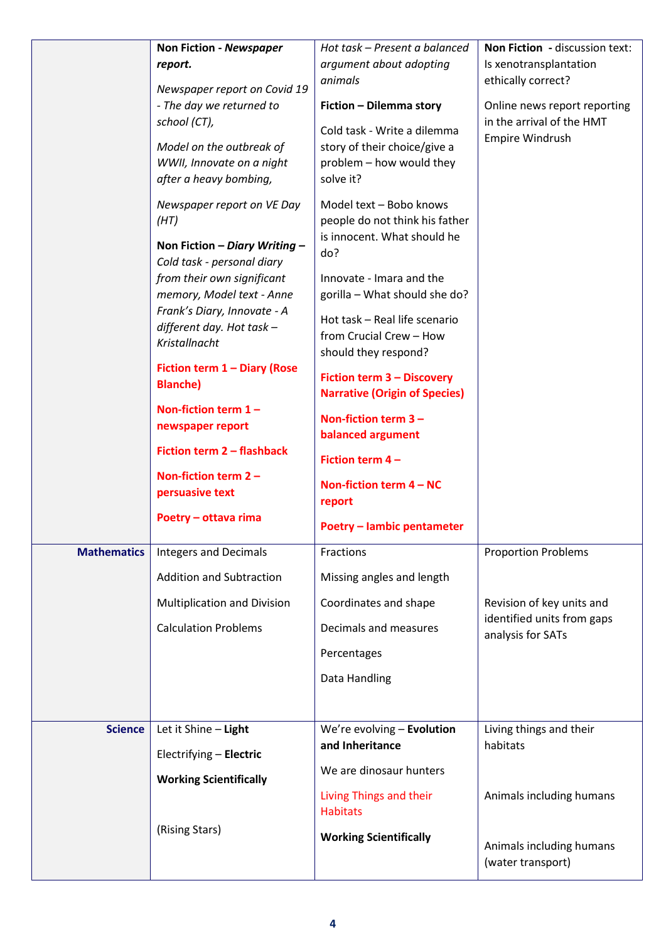|                    | Non Fiction - Newspaper<br>report.<br>Newspaper report on Covid 19<br>- The day we returned to<br>school (CT),<br>Model on the outbreak of<br>WWII, Innovate on a night<br>after a heavy bombing,<br>Newspaper report on VE Day<br>(HT)<br>Non Fiction - Diary Writing -<br>Cold task - personal diary<br>from their own significant<br>memory, Model text - Anne<br>Frank's Diary, Innovate - A<br>different day. Hot task -<br>Kristallnacht<br>Fiction term 1 - Diary (Rose<br><b>Blanche)</b><br>Non-fiction term $1 -$<br>newspaper report<br>Fiction term 2 - flashback<br>Non-fiction term $2 -$<br>persuasive text<br>Poetry - ottava rima | Hot task - Present a balanced<br>argument about adopting<br>animals<br>Fiction - Dilemma story<br>Cold task - Write a dilemma<br>story of their choice/give a<br>problem - how would they<br>solve it?<br>Model text - Bobo knows<br>people do not think his father<br>is innocent. What should he<br>do?<br>Innovate - Imara and the<br>gorilla - What should she do?<br>Hot task - Real life scenario<br>from Crucial Crew - How<br>should they respond?<br><b>Fiction term 3 - Discovery</b><br><b>Narrative (Origin of Species)</b><br>Non-fiction term $3 -$<br>balanced argument<br>Fiction term $4 -$<br>Non-fiction term $4 - NC$<br>report<br>Poetry - lambic pentameter | Non Fiction - discussion text:<br>Is xenotransplantation<br>ethically correct?<br>Online news report reporting<br>in the arrival of the HMT<br>Empire Windrush |
|--------------------|----------------------------------------------------------------------------------------------------------------------------------------------------------------------------------------------------------------------------------------------------------------------------------------------------------------------------------------------------------------------------------------------------------------------------------------------------------------------------------------------------------------------------------------------------------------------------------------------------------------------------------------------------|-----------------------------------------------------------------------------------------------------------------------------------------------------------------------------------------------------------------------------------------------------------------------------------------------------------------------------------------------------------------------------------------------------------------------------------------------------------------------------------------------------------------------------------------------------------------------------------------------------------------------------------------------------------------------------------|----------------------------------------------------------------------------------------------------------------------------------------------------------------|
| <b>Mathematics</b> | <b>Integers and Decimals</b><br><b>Addition and Subtraction</b><br>Multiplication and Division<br><b>Calculation Problems</b>                                                                                                                                                                                                                                                                                                                                                                                                                                                                                                                      | Fractions<br>Missing angles and length<br>Coordinates and shape<br>Decimals and measures<br>Percentages<br>Data Handling                                                                                                                                                                                                                                                                                                                                                                                                                                                                                                                                                          | <b>Proportion Problems</b><br>Revision of key units and<br>identified units from gaps<br>analysis for SATs                                                     |
| <b>Science</b>     | Let it Shine - Light<br>Electrifying - Electric<br><b>Working Scientifically</b><br>(Rising Stars)                                                                                                                                                                                                                                                                                                                                                                                                                                                                                                                                                 | We're evolving - Evolution<br>and Inheritance<br>We are dinosaur hunters<br>Living Things and their<br><b>Habitats</b><br><b>Working Scientifically</b>                                                                                                                                                                                                                                                                                                                                                                                                                                                                                                                           | Living things and their<br>habitats<br>Animals including humans<br>Animals including humans<br>(water transport)                                               |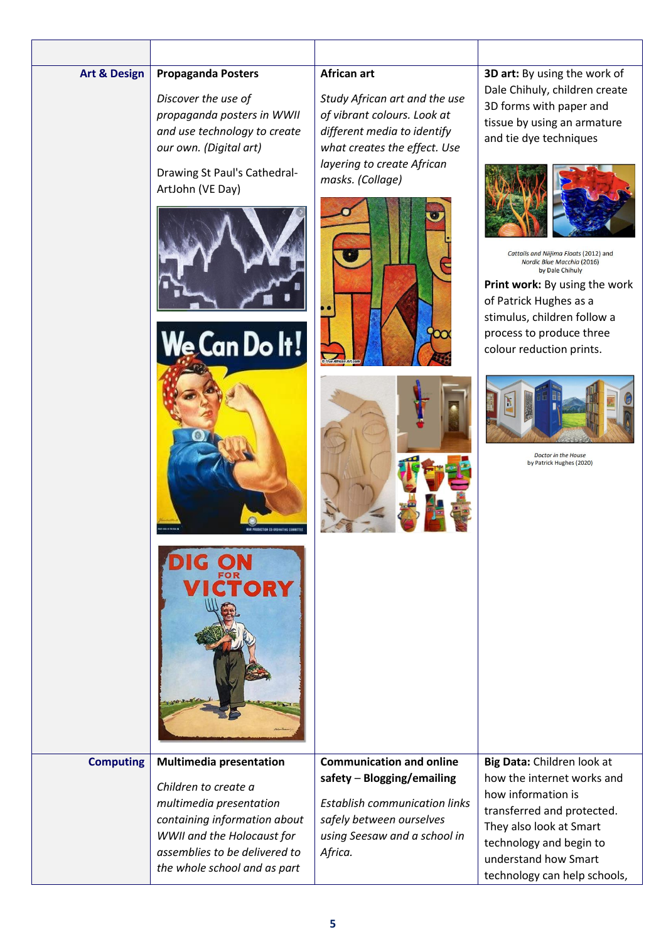| <b>Art &amp; Design</b> | <b>Propaganda Posters</b><br>Discover the use of<br>propaganda posters in WWII<br>and use technology to create<br>our own. (Digital art)                                                                         | African art<br>Study African art and the use<br>of vibrant colours. Look at<br>different media to identify<br>what creates the effect. Use                                   | 3D art: By using the work of<br>Dale Chihuly, children create<br>3D forms with paper and<br>tissue by using an armature<br>and tie dye techniques                                                                                                                                            |
|-------------------------|------------------------------------------------------------------------------------------------------------------------------------------------------------------------------------------------------------------|------------------------------------------------------------------------------------------------------------------------------------------------------------------------------|----------------------------------------------------------------------------------------------------------------------------------------------------------------------------------------------------------------------------------------------------------------------------------------------|
|                         | Drawing St Paul's Cathedral-<br>ArtJohn (VE Day)<br>We Can Do It!<br>WAR PRODUCTION CS-DESINATING COMMITTE                                                                                                       | layering to create African<br>masks. (Collage)                                                                                                                               | Cattails and Niijima Floats (2012) and<br>Nordic Blue Macchia (2016)<br>by Dale Chihuly<br>Print work: By using the work<br>of Patrick Hughes as a<br>stimulus, children follow a<br>process to produce three<br>colour reduction prints.<br>Doctor in the House<br>by Patrick Hughes (2020) |
|                         | <b>TORY</b>                                                                                                                                                                                                      |                                                                                                                                                                              |                                                                                                                                                                                                                                                                                              |
| <b>Computing</b>        | <b>Multimedia presentation</b><br>Children to create a<br>multimedia presentation<br>containing information about<br>WWII and the Holocaust for<br>assemblies to be delivered to<br>the whole school and as part | <b>Communication and online</b><br>safety - Blogging/emailing<br><b>Establish communication links</b><br>safely between ourselves<br>using Seesaw and a school in<br>Africa. | Big Data: Children look at<br>how the internet works and<br>how information is<br>transferred and protected.<br>They also look at Smart<br>technology and begin to<br>understand how Smart<br>technology can help schools,                                                                   |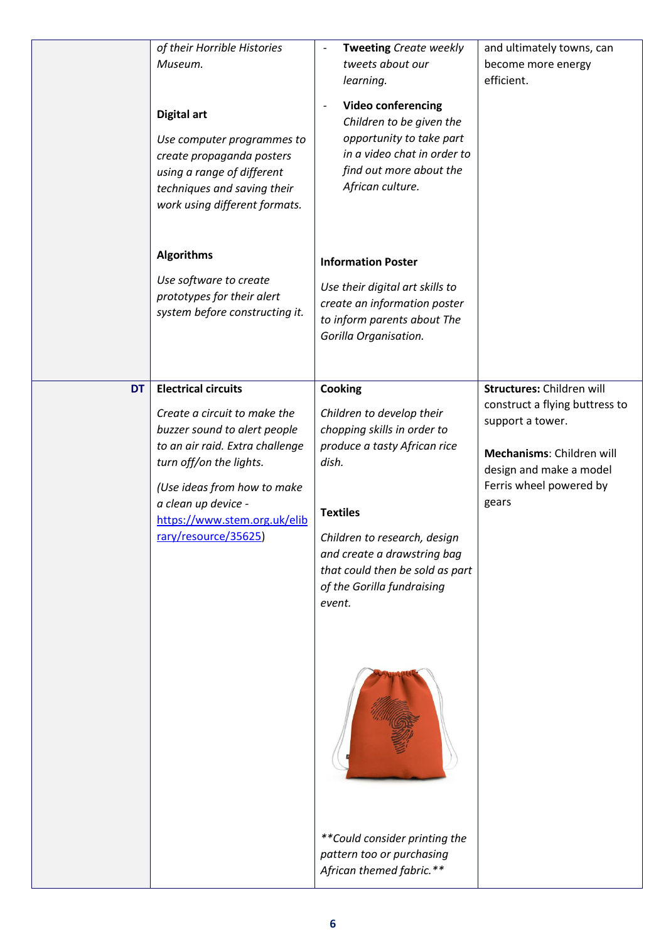|           | of their Horrible Histories<br>Museum.<br><b>Digital art</b><br>Use computer programmes to<br>create propaganda posters<br>using a range of different<br>techniques and saving their<br>work using different formats.                                                  | Tweeting Create weekly<br>tweets about our<br>learning.<br><b>Video conferencing</b><br>$\overline{\phantom{a}}$<br>Children to be given the<br>opportunity to take part<br>in a video chat in order to<br>find out more about the<br>African culture.                    | and ultimately towns, can<br>become more energy<br>efficient.                                                                                                               |
|-----------|------------------------------------------------------------------------------------------------------------------------------------------------------------------------------------------------------------------------------------------------------------------------|---------------------------------------------------------------------------------------------------------------------------------------------------------------------------------------------------------------------------------------------------------------------------|-----------------------------------------------------------------------------------------------------------------------------------------------------------------------------|
|           | <b>Algorithms</b><br>Use software to create<br>prototypes for their alert<br>system before constructing it.                                                                                                                                                            | <b>Information Poster</b><br>Use their digital art skills to<br>create an information poster<br>to inform parents about The<br>Gorilla Organisation.                                                                                                                      |                                                                                                                                                                             |
| <b>DT</b> | <b>Electrical circuits</b><br>Create a circuit to make the<br>buzzer sound to alert people<br>to an air raid. Extra challenge<br>turn off/on the lights.<br>(Use ideas from how to make<br>a clean up device -<br>https://www.stem.org.uk/elib<br>rary/resource/35625) | Cooking<br>Children to develop their<br>chopping skills in order to<br>produce a tasty African rice<br>dish.<br><b>Textiles</b><br>Children to research, design<br>and create a drawstring bag<br>that could then be sold as part<br>of the Gorilla fundraising<br>event. | Structures: Children will<br>construct a flying buttress to<br>support a tower.<br>Mechanisms: Children will<br>design and make a model<br>Ferris wheel powered by<br>gears |
|           |                                                                                                                                                                                                                                                                        | **Could consider printing the<br>pattern too or purchasing<br>African themed fabric.**                                                                                                                                                                                    |                                                                                                                                                                             |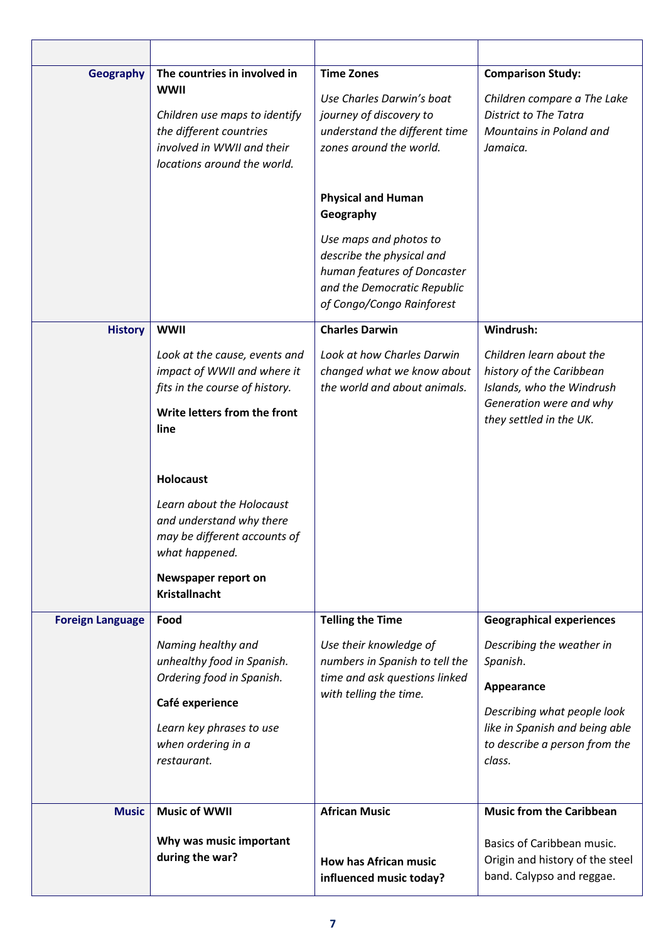| <b>Geography</b>        | The countries in involved in<br><b>WWII</b><br>Children use maps to identify<br>the different countries<br>involved in WWII and their<br>locations around the world.       | <b>Time Zones</b><br>Use Charles Darwin's boat<br>journey of discovery to<br>understand the different time<br>zones around the world.<br><b>Physical and Human</b><br>Geography<br>Use maps and photos to<br>describe the physical and<br>human features of Doncaster | <b>Comparison Study:</b><br>Children compare a The Lake<br><b>District to The Tatra</b><br>Mountains in Poland and<br>Jamaica.                                                                     |
|-------------------------|----------------------------------------------------------------------------------------------------------------------------------------------------------------------------|-----------------------------------------------------------------------------------------------------------------------------------------------------------------------------------------------------------------------------------------------------------------------|----------------------------------------------------------------------------------------------------------------------------------------------------------------------------------------------------|
|                         |                                                                                                                                                                            | and the Democratic Republic<br>of Congo/Congo Rainforest                                                                                                                                                                                                              |                                                                                                                                                                                                    |
| <b>History</b>          | <b>WWII</b><br>Look at the cause, events and<br>impact of WWII and where it<br>fits in the course of history.<br>Write letters from the front<br>line                      | <b>Charles Darwin</b><br>Look at how Charles Darwin<br>changed what we know about<br>the world and about animals.                                                                                                                                                     | Windrush:<br>Children learn about the<br>history of the Caribbean<br>Islands, who the Windrush<br>Generation were and why<br>they settled in the UK.                                               |
|                         | <b>Holocaust</b><br>Learn about the Holocaust<br>and understand why there<br>may be different accounts of<br>what happened.<br>Newspaper report on<br><b>Kristallnacht</b> |                                                                                                                                                                                                                                                                       |                                                                                                                                                                                                    |
| <b>Foreign Language</b> | Food<br>Naming healthy and<br>unhealthy food in Spanish.<br>Ordering food in Spanish.<br>Café experience<br>Learn key phrases to use<br>when ordering in a<br>restaurant.  | <b>Telling the Time</b><br>Use their knowledge of<br>numbers in Spanish to tell the<br>time and ask questions linked<br>with telling the time.                                                                                                                        | <b>Geographical experiences</b><br>Describing the weather in<br>Spanish.<br>Appearance<br>Describing what people look<br>like in Spanish and being able<br>to describe a person from the<br>class. |
| <b>Music</b>            | <b>Music of WWII</b><br>Why was music important<br>during the war?                                                                                                         | <b>African Music</b><br><b>How has African music</b><br>influenced music today?                                                                                                                                                                                       | <b>Music from the Caribbean</b><br>Basics of Caribbean music.<br>Origin and history of the steel<br>band. Calypso and reggae.                                                                      |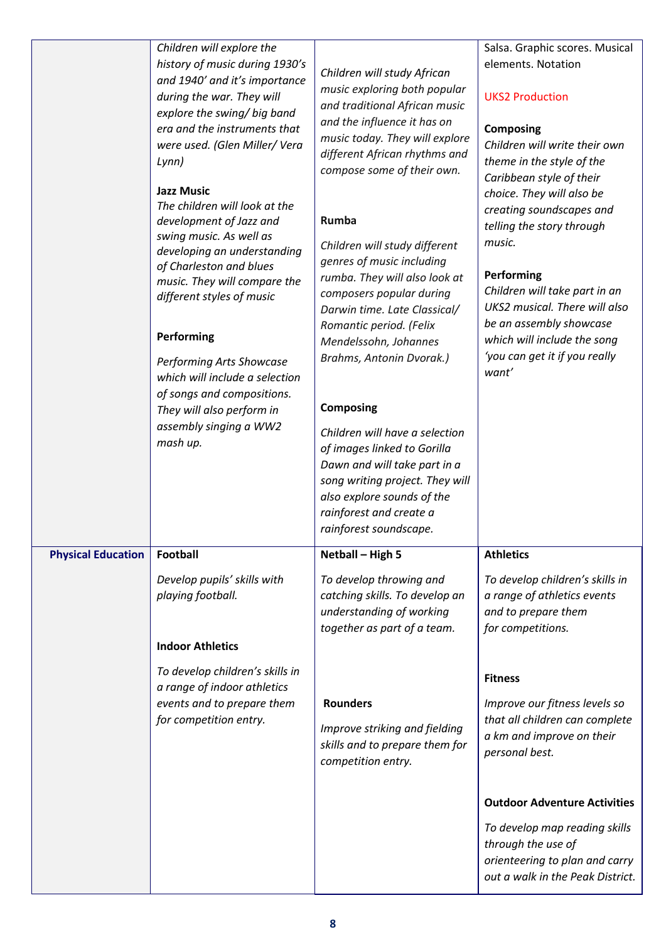|                           | Children will explore the<br>history of music during 1930's<br>and 1940' and it's importance<br>during the war. They will<br>explore the swing/ big band<br>era and the instruments that<br>were used. (Glen Miller/Vera<br>Lynn)<br><b>Jazz Music</b><br>The children will look at the<br>development of Jazz and<br>swing music. As well as<br>developing an understanding<br>of Charleston and blues<br>music. They will compare the<br>different styles of music<br>Performing<br><b>Performing Arts Showcase</b><br>which will include a selection<br>of songs and compositions.<br>They will also perform in<br>assembly singing a WW2<br>mash up. | Children will study African<br>music exploring both popular<br>and traditional African music<br>and the influence it has on<br>music today. They will explore<br>different African rhythms and<br>compose some of their own.<br>Rumba<br>Children will study different<br>genres of music including<br>rumba. They will also look at<br>composers popular during<br>Darwin time. Late Classical/<br>Romantic period. (Felix<br>Mendelssohn, Johannes<br>Brahms, Antonin Dvorak.)<br><b>Composing</b><br>Children will have a selection<br>of images linked to Gorilla<br>Dawn and will take part in a<br>song writing project. They will<br>also explore sounds of the<br>rainforest and create a<br>rainforest soundscape. | Salsa. Graphic scores. Musical<br>elements. Notation<br><b>UKS2 Production</b><br><b>Composing</b><br>Children will write their own<br>theme in the style of the<br>Caribbean style of their<br>choice. They will also be<br>creating soundscapes and<br>telling the story through<br>music.<br>Performing<br>Children will take part in an<br>UKS2 musical. There will also<br>be an assembly showcase<br>which will include the song<br>'you can get it if you really<br>want' |
|---------------------------|----------------------------------------------------------------------------------------------------------------------------------------------------------------------------------------------------------------------------------------------------------------------------------------------------------------------------------------------------------------------------------------------------------------------------------------------------------------------------------------------------------------------------------------------------------------------------------------------------------------------------------------------------------|-----------------------------------------------------------------------------------------------------------------------------------------------------------------------------------------------------------------------------------------------------------------------------------------------------------------------------------------------------------------------------------------------------------------------------------------------------------------------------------------------------------------------------------------------------------------------------------------------------------------------------------------------------------------------------------------------------------------------------|----------------------------------------------------------------------------------------------------------------------------------------------------------------------------------------------------------------------------------------------------------------------------------------------------------------------------------------------------------------------------------------------------------------------------------------------------------------------------------|
| <b>Physical Education</b> | Football                                                                                                                                                                                                                                                                                                                                                                                                                                                                                                                                                                                                                                                 | Netball - High 5                                                                                                                                                                                                                                                                                                                                                                                                                                                                                                                                                                                                                                                                                                            | <b>Athletics</b>                                                                                                                                                                                                                                                                                                                                                                                                                                                                 |
|                           | Develop pupils' skills with<br>playing football.<br><b>Indoor Athletics</b>                                                                                                                                                                                                                                                                                                                                                                                                                                                                                                                                                                              | To develop throwing and<br>catching skills. To develop an<br>understanding of working<br>together as part of a team.                                                                                                                                                                                                                                                                                                                                                                                                                                                                                                                                                                                                        | To develop children's skills in<br>a range of athletics events<br>and to prepare them<br>for competitions.                                                                                                                                                                                                                                                                                                                                                                       |
|                           | To develop children's skills in<br>a range of indoor athletics<br>events and to prepare them<br>for competition entry.                                                                                                                                                                                                                                                                                                                                                                                                                                                                                                                                   | <b>Rounders</b><br>Improve striking and fielding<br>skills and to prepare them for<br>competition entry.                                                                                                                                                                                                                                                                                                                                                                                                                                                                                                                                                                                                                    | <b>Fitness</b><br>Improve our fitness levels so<br>that all children can complete<br>a km and improve on their<br>personal best.<br><b>Outdoor Adventure Activities</b><br>To develop map reading skills<br>through the use of<br>orienteering to plan and carry<br>out a walk in the Peak District.                                                                                                                                                                             |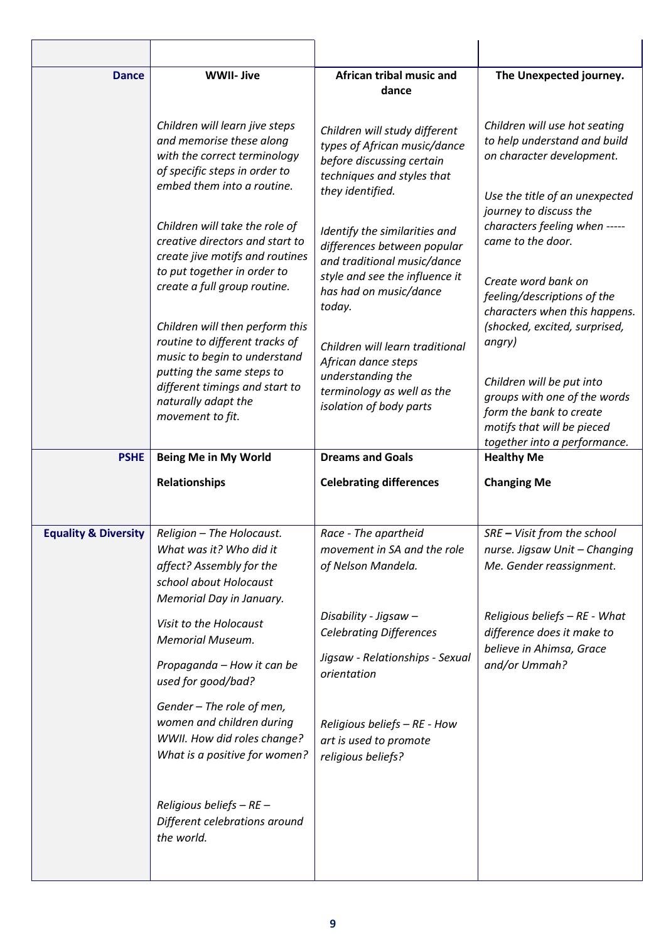| <b>Dance</b>                    | <b>WWII- Jive</b>                                                                                                                                         | African tribal music and<br>dance                                                                                                            | The Unexpected journey.                                                                                                                                |
|---------------------------------|-----------------------------------------------------------------------------------------------------------------------------------------------------------|----------------------------------------------------------------------------------------------------------------------------------------------|--------------------------------------------------------------------------------------------------------------------------------------------------------|
|                                 | Children will learn jive steps<br>and memorise these along<br>with the correct terminology<br>of specific steps in order to<br>embed them into a routine. | Children will study different<br>types of African music/dance<br>before discussing certain<br>techniques and styles that<br>they identified. | Children will use hot seating<br>to help understand and build<br>on character development.<br>Use the title of an unexpected<br>journey to discuss the |
|                                 | Children will take the role of<br>creative directors and start to<br>create jive motifs and routines<br>to put together in order to                       | Identify the similarities and<br>differences between popular<br>and traditional music/dance<br>style and see the influence it                | characters feeling when -----<br>came to the door.<br>Create word bank on                                                                              |
|                                 | create a full group routine.<br>Children will then perform this<br>routine to different tracks of                                                         | has had on music/dance<br>today.<br>Children will learn traditional                                                                          | feeling/descriptions of the<br>characters when this happens.<br>(shocked, excited, surprised,<br>angry)                                                |
|                                 | music to begin to understand<br>putting the same steps to<br>different timings and start to<br>naturally adapt the<br>movement to fit.                    | African dance steps<br>understanding the<br>terminology as well as the<br>isolation of body parts                                            | Children will be put into<br>groups with one of the words<br>form the bank to create<br>motifs that will be pieced<br>together into a performance.     |
| <b>PSHE</b>                     | <b>Being Me in My World</b>                                                                                                                               | <b>Dreams and Goals</b>                                                                                                                      | <b>Healthy Me</b>                                                                                                                                      |
|                                 |                                                                                                                                                           |                                                                                                                                              |                                                                                                                                                        |
|                                 | Relationships                                                                                                                                             | <b>Celebrating differences</b>                                                                                                               | <b>Changing Me</b>                                                                                                                                     |
| <b>Equality &amp; Diversity</b> | Religion - The Holocaust.<br>What was it? Who did it<br>affect? Assembly for the<br>school about Holocaust<br>Memorial Day in January.                    | Race - The apartheid<br>movement in SA and the role<br>of Nelson Mandela.                                                                    | SRE - Visit from the school<br>nurse. Jigsaw Unit - Changing<br>Me. Gender reassignment.                                                               |
|                                 | Visit to the Holocaust<br><b>Memorial Museum.</b>                                                                                                         | Disability - Jigsaw –<br><b>Celebrating Differences</b>                                                                                      | Religious beliefs - RE - What<br>difference does it make to                                                                                            |
|                                 | Propaganda - How it can be<br>used for good/bad?                                                                                                          | Jigsaw - Relationships - Sexual<br>orientation                                                                                               | believe in Ahimsa, Grace<br>and/or Ummah?                                                                                                              |
|                                 | Gender - The role of men,<br>women and children during<br>WWII. How did roles change?<br>What is a positive for women?                                    | Religious beliefs - RE - How<br>art is used to promote<br>religious beliefs?                                                                 |                                                                                                                                                        |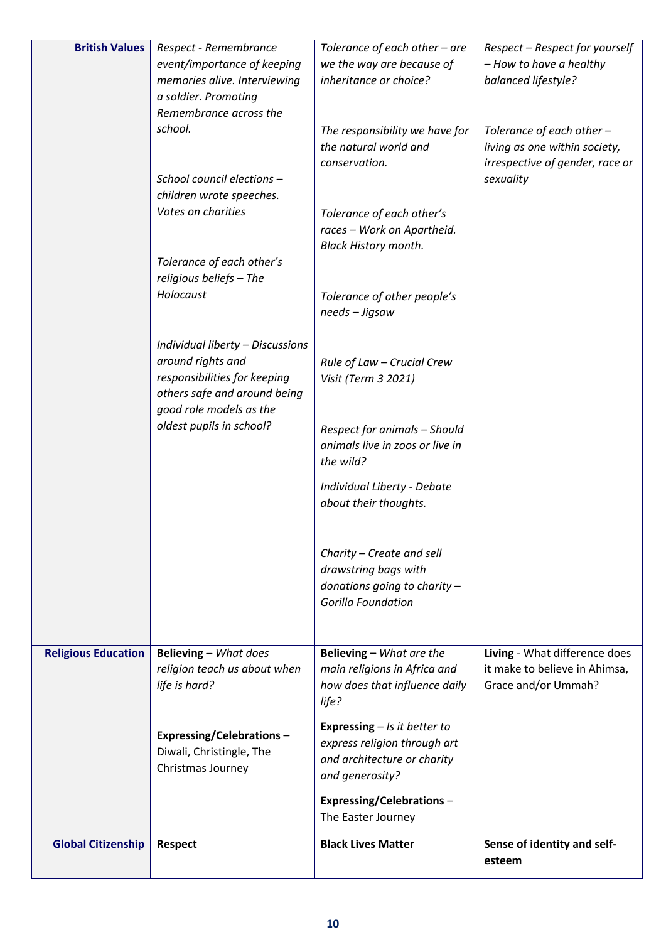| <b>British Values</b>      | Respect - Remembrance                                       | Tolerance of each other - are                        | Respect - Respect for yourself  |
|----------------------------|-------------------------------------------------------------|------------------------------------------------------|---------------------------------|
|                            | event/importance of keeping                                 | we the way are because of                            | - How to have a healthy         |
|                            | memories alive. Interviewing<br>a soldier. Promoting        | inheritance or choice?                               | balanced lifestyle?             |
|                            | Remembrance across the                                      |                                                      |                                 |
|                            | school.                                                     | The responsibility we have for                       | Tolerance of each other -       |
|                            |                                                             | the natural world and                                | living as one within society,   |
|                            |                                                             | conservation.                                        | irrespective of gender, race or |
|                            | School council elections -                                  |                                                      | sexuality                       |
|                            | children wrote speeches.                                    |                                                      |                                 |
|                            | Votes on charities                                          | Tolerance of each other's                            |                                 |
|                            |                                                             | races - Work on Apartheid.                           |                                 |
|                            | Tolerance of each other's                                   | <b>Black History month.</b>                          |                                 |
|                            | religious beliefs - The                                     |                                                      |                                 |
|                            | Holocaust                                                   | Tolerance of other people's                          |                                 |
|                            |                                                             | needs - Jigsaw                                       |                                 |
|                            |                                                             |                                                      |                                 |
|                            | Individual liberty - Discussions                            |                                                      |                                 |
|                            | around rights and                                           | Rule of Law - Crucial Crew                           |                                 |
|                            | responsibilities for keeping                                | Visit (Term 3 2021)                                  |                                 |
|                            | others safe and around being<br>good role models as the     |                                                      |                                 |
|                            | oldest pupils in school?                                    | Respect for animals - Should                         |                                 |
|                            |                                                             | animals live in zoos or live in                      |                                 |
|                            |                                                             | the wild?                                            |                                 |
|                            |                                                             |                                                      |                                 |
|                            |                                                             | Individual Liberty - Debate<br>about their thoughts. |                                 |
|                            |                                                             |                                                      |                                 |
|                            |                                                             |                                                      |                                 |
|                            |                                                             | Charity - Create and sell                            |                                 |
|                            |                                                             | drawstring bags with                                 |                                 |
|                            |                                                             | donations going to charity -                         |                                 |
|                            |                                                             | <b>Gorilla Foundation</b>                            |                                 |
|                            |                                                             |                                                      |                                 |
| <b>Religious Education</b> | Believing - What does                                       | Believing - What are the                             | Living - What difference does   |
|                            | religion teach us about when                                | main religions in Africa and                         | it make to believe in Ahimsa,   |
|                            | life is hard?                                               | how does that influence daily                        | Grace and/or Ummah?             |
|                            |                                                             | life?                                                |                                 |
|                            |                                                             | <b>Expressing</b> $-$ <i>Is it better to</i>         |                                 |
|                            | <b>Expressing/Celebrations-</b><br>Diwali, Christingle, The | express religion through art                         |                                 |
|                            | Christmas Journey                                           | and architecture or charity                          |                                 |
|                            |                                                             | and generosity?                                      |                                 |
|                            |                                                             | <b>Expressing/Celebrations-</b>                      |                                 |
|                            |                                                             | The Easter Journey                                   |                                 |
| <b>Global Citizenship</b>  | <b>Respect</b>                                              | <b>Black Lives Matter</b>                            | Sense of identity and self-     |
|                            |                                                             |                                                      | esteem                          |